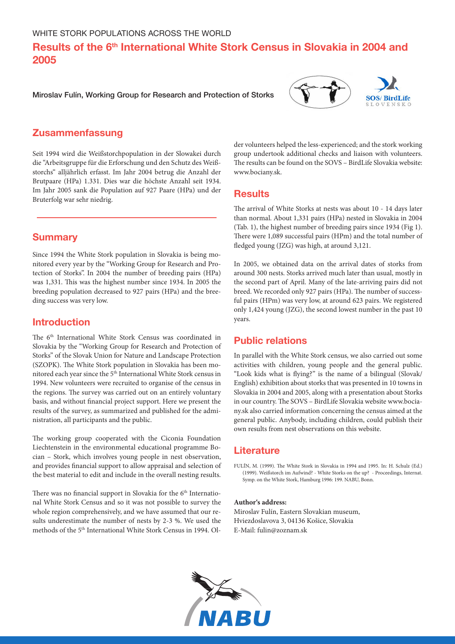# Results of the 6<sup>th</sup> International White Stork Census in Slovakia in 2004 and 2005

Miroslav Fulín, Working Group for Research and Protection of Storks





# Zusammenfassung

Seit 1994 wird die Weißstorchpopulation in der Slowakei durch die "Arbeitsgruppe für die Erforschung und den Schutz des Weißstorchs" alljährlich erfasst. Im Jahr 2004 betrug die Anzahl der Brutpaare (HPa) 1.331. Dies war die höchste Anzahl seit 1934. Im Jahr 2005 sank die Population auf 927 Paare (HPa) und der Bruterfolg war sehr niedrig.

## **Summary**

Since 1994 the White Stork population in Slovakia is being monitored every year by the "Working Group for Research and Protection of Storks". In 2004 the number of breeding pairs (HPa) was 1,331. This was the highest number since 1934. In 2005 the breeding population decreased to 927 pairs (HPa) and the breeding success was very low.

# Introduction

The 6<sup>th</sup> International White Stork Census was coordinated in Slovakia by the "Working Group for Research and Protection of Storks" of the Slovak Union for Nature and Landscape Protection (SZOPK). The White Stork population in Slovakia has been monitored each year since the  $5^{\rm th}$  International White Stork census in 1994. New volunteers were recruited to organise of the census in the regions. The survey was carried out on an entirely voluntary basis, and without financial project support. Here we present the results of the survey, as summarized and published for the administration, all participants and the public.

The working group cooperated with the Ciconia Foundation Liechtenstein in the environmental educational programme Bocian – Stork, which involves young people in nest observation, and provides financial support to allow appraisal and selection of the best material to edit and include in the overall nesting results.

There was no financial support in Slovakia for the  $6<sup>th</sup>$  International White Stork Census and so it was not possible to survey the whole region comprehensively, and we have assumed that our results underestimate the number of nests by 2-3 %. We used the methods of the 5<sup>th</sup> International White Stork Census in 1994. Older volunteers helped the less-experienced; and the stork working group undertook additional checks and liaison with volunteers. The results can be found on the SOVS – BirdLife Slovakia website: www.bociany.sk.

### **Results**

The arrival of White Storks at nests was about 10 - 14 days later than normal. About 1,331 pairs (HPa) nested in Slovakia in 2004 (Tab. 1), the highest number of breeding pairs since 1934 (Fig 1). There were 1,089 successful pairs (HPm) and the total number of fledged young (JZG) was high, at around 3,121.

In 2005, we obtained data on the arrival dates of storks from around 300 nests. Storks arrived much later than usual, mostly in the second part of April. Many of the late-arriving pairs did not breed. We recorded only 927 pairs (HPa). The number of successful pairs (HPm) was very low, at around 623 pairs. We registered only 1,424 young (JZG), the second lowest number in the past 10 years.

# Public relations

In parallel with the White Stork census, we also carried out some activities with children, young people and the general public. "Look kids what is flying?" is the name of a bilingual (Slovak/ English) exhibition about storks that was presented in 10 towns in Slovakia in 2004 and 2005, along with a presentation about Storks in our country. The SOVS – BirdLife Slovakia website [www.bocia](http://www.bociany.sk)[ny.sk](http://www.bociany.sk) also carried information concerning the census aimed at the general public. Anybody, including children, could publish their own results from nest observations on this website.

### **Literature**

FULÍN, M. (1999). The White Stork in Slovakia in 1994 and 1995. In: H. Schulz (Ed.) (1999). Weißstorch im Aufwind? - White Storks on the up? - Proceedings, Internat. Symp. on the White Stork, Hamburg 1996: 199. NABU, Bonn.

#### **Author's address:**

Miroslav Fulín, Eastern Slovakian museum, Hviezdoslavova 3, 04136 Košice, Slovakia E-Mail: fulin@zoznam.sk